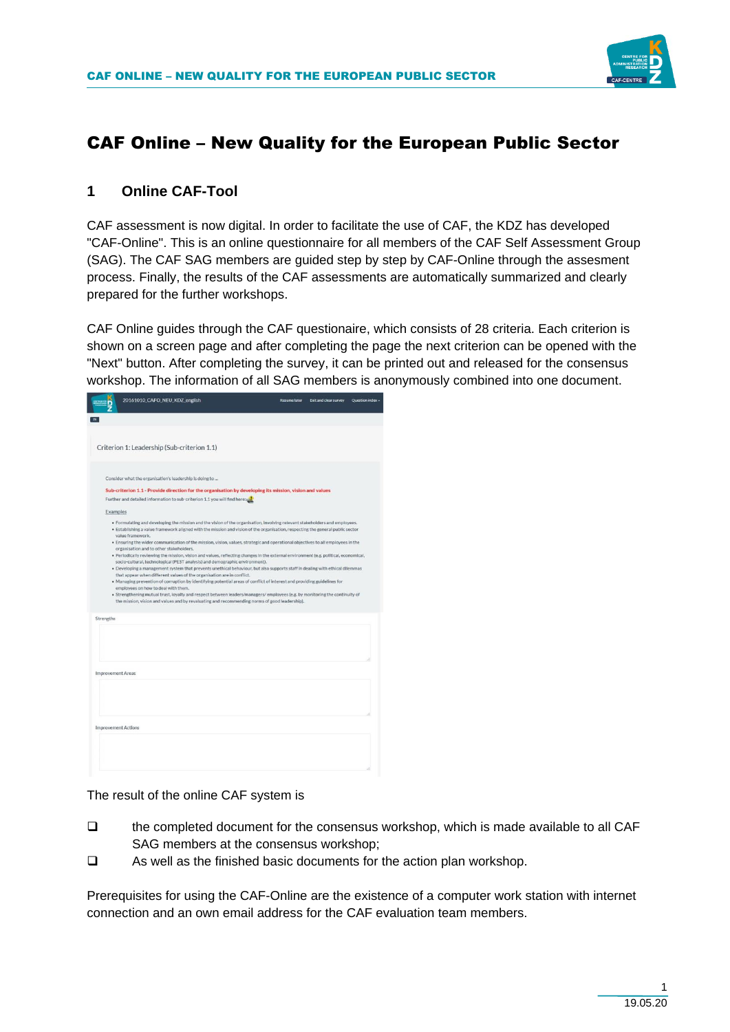

# CAF Online – New Quality for the European Public Sector

### **1 Online CAF-Tool**

CAF assessment is now digital. In order to facilitate the use of CAF, the KDZ has developed "CAF-Online". This is an online questionnaire for all members of the CAF Self Assessment Group (SAG). The CAF SAG members are guided step by step by CAF-Online through the assesment process. Finally, the results of the CAF assessments are automatically summarized and clearly prepared for the further workshops.

CAF Online guides through the CAF questionaire, which consists of 28 criteria. Each criterion is shown on a screen page and after completing the page the next criterion can be opened with the "Next" button. After completing the survey, it can be printed out and released for the consensus workshop. The information of all SAG members is anonymously combined into one document.

|                          | 20161010_CAFO_NEU_KDZ_english                                                                                                                                                                                                                                                                                                                                                                                                                                                                                                                                                                                                                                                                                                                                                                                                                                                                                                                                                                                                                                                                                                                                                                                                                                                                                  | <b>Resume later</b> | Exit and clear survey | Question index - |
|--------------------------|----------------------------------------------------------------------------------------------------------------------------------------------------------------------------------------------------------------------------------------------------------------------------------------------------------------------------------------------------------------------------------------------------------------------------------------------------------------------------------------------------------------------------------------------------------------------------------------------------------------------------------------------------------------------------------------------------------------------------------------------------------------------------------------------------------------------------------------------------------------------------------------------------------------------------------------------------------------------------------------------------------------------------------------------------------------------------------------------------------------------------------------------------------------------------------------------------------------------------------------------------------------------------------------------------------------|---------------------|-----------------------|------------------|
|                          |                                                                                                                                                                                                                                                                                                                                                                                                                                                                                                                                                                                                                                                                                                                                                                                                                                                                                                                                                                                                                                                                                                                                                                                                                                                                                                                |                     |                       |                  |
|                          | Criterion 1: Leadership (Sub-criterion 1.1)                                                                                                                                                                                                                                                                                                                                                                                                                                                                                                                                                                                                                                                                                                                                                                                                                                                                                                                                                                                                                                                                                                                                                                                                                                                                    |                     |                       |                  |
|                          | Consider what the organisation's leadership is doing to<br>Sub-criterion 1.1 - Provide direction for the organisation by developing its mission, vision and values                                                                                                                                                                                                                                                                                                                                                                                                                                                                                                                                                                                                                                                                                                                                                                                                                                                                                                                                                                                                                                                                                                                                             |                     |                       |                  |
|                          | Further and detailed information to sub-criterion 1.1 you will find here:                                                                                                                                                                                                                                                                                                                                                                                                                                                                                                                                                                                                                                                                                                                                                                                                                                                                                                                                                                                                                                                                                                                                                                                                                                      |                     |                       |                  |
|                          | Examples<br>. Formulating and developing the mission and the vision of the organisation, involving relevant stakeholders and employees.<br>. Establishing a value framework aligned with the mission and vision of the organisation, respecting the general public sector<br>value framework.<br>. Ensuring the wider communication of the mission, vision, values, strategic and operational objectives to all employees in the<br>organisation and to other stakeholders.<br>. Periodically reviewing the mission, vision and values, reflecting changes in the external environment (e.g. political, economical,<br>socio-cultural, technological (PEST analysis) and demographic environment).<br>. Developing a management system that prevents unethical behaviour, but also supports staff in dealing with ethical dilemmas<br>that appear when different values of the organisation are in conflict.<br>. Managing prevention of corruption by identifying potential areas of conflict of interest and providing guidelines for<br>employees on how to deal with them.<br>· Strengthening mutual trust, loyalty and respect between leaders/managers/ employees (e.g. by monitoring the continuity of<br>the mission, vision and values and by revaluating and recommending norms of good leadership). |                     |                       |                  |
| Strengths                |                                                                                                                                                                                                                                                                                                                                                                                                                                                                                                                                                                                                                                                                                                                                                                                                                                                                                                                                                                                                                                                                                                                                                                                                                                                                                                                |                     |                       |                  |
| <b>Improvement Areas</b> |                                                                                                                                                                                                                                                                                                                                                                                                                                                                                                                                                                                                                                                                                                                                                                                                                                                                                                                                                                                                                                                                                                                                                                                                                                                                                                                |                     |                       |                  |
|                          |                                                                                                                                                                                                                                                                                                                                                                                                                                                                                                                                                                                                                                                                                                                                                                                                                                                                                                                                                                                                                                                                                                                                                                                                                                                                                                                |                     |                       |                  |
|                          | <b>Improvement Actions</b>                                                                                                                                                                                                                                                                                                                                                                                                                                                                                                                                                                                                                                                                                                                                                                                                                                                                                                                                                                                                                                                                                                                                                                                                                                                                                     |                     |                       |                  |
|                          |                                                                                                                                                                                                                                                                                                                                                                                                                                                                                                                                                                                                                                                                                                                                                                                                                                                                                                                                                                                                                                                                                                                                                                                                                                                                                                                |                     |                       |                  |

The result of the online CAF system is

- ❑ the completed document for the consensus workshop, which is made available to all CAF SAG members at the consensus workshop;
- ❑ As well as the finished basic documents for the action plan workshop.

Prerequisites for using the CAF-Online are the existence of a computer work station with internet connection and an own email address for the CAF evaluation team members.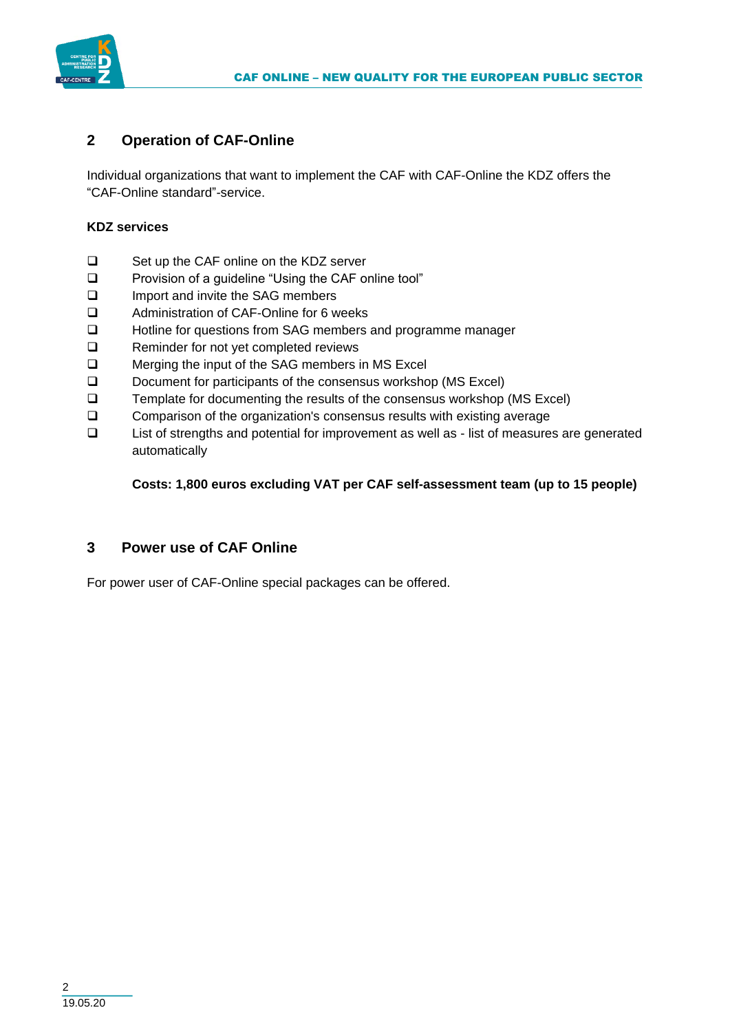

# **2 Operation of CAF-Online**

Individual organizations that want to implement the CAF with CAF-Online the KDZ offers the "CAF-Online standard"-service.

#### **KDZ services**

- ❑ Set up the CAF online on the KDZ server
- ❑ Provision of a guideline "Using the CAF online tool"
- ❑ Import and invite the SAG members
- ❑ Administration of CAF-Online for 6 weeks
- ❑ Hotline for questions from SAG members and programme manager
- ❑ Reminder for not yet completed reviews
- ❑ Merging the input of the SAG members in MS Excel
- ❑ Document for participants of the consensus workshop (MS Excel)
- ❑ Template for documenting the results of the consensus workshop (MS Excel)
- ❑ Comparison of the organization's consensus results with existing average
- ❑ List of strengths and potential for improvement as well as list of measures are generated automatically

### **Costs: 1,800 euros excluding VAT per CAF self-assessment team (up to 15 people)**

# **3 Power use of CAF Online**

For power user of CAF-Online special packages can be offered.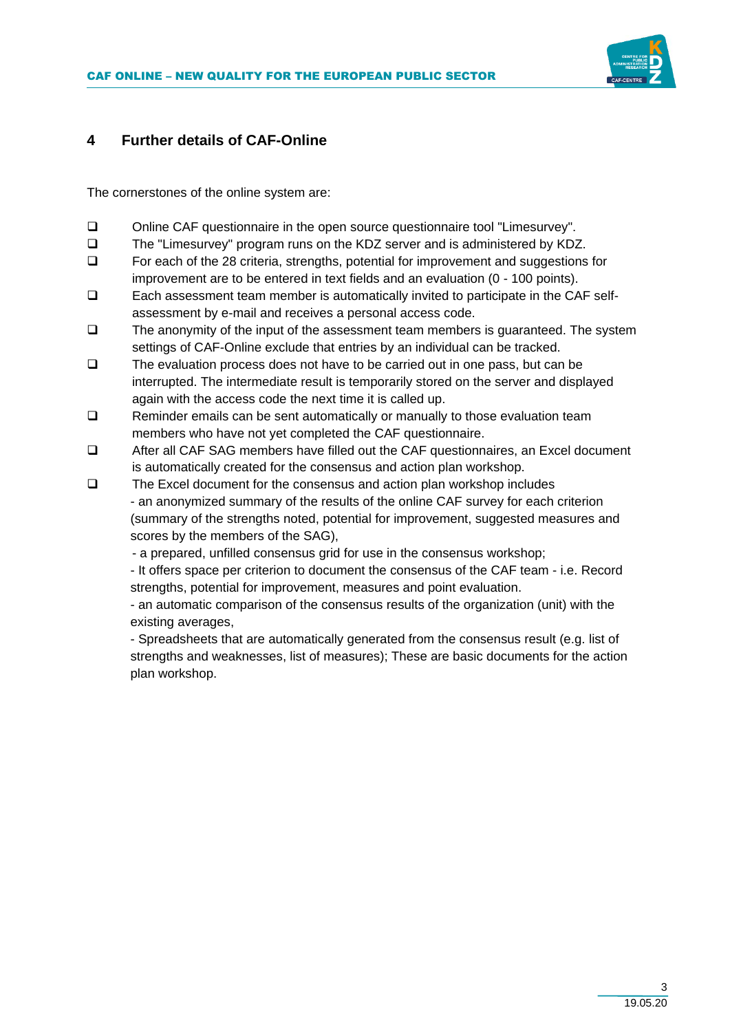

#### **4 Further details of CAF-Online**

The cornerstones of the online system are:

- ❑ Online CAF questionnaire in the open source questionnaire tool "Limesurvey".
- ❑ The "Limesurvey" program runs on the KDZ server and is administered by KDZ.
- ❑ For each of the 28 criteria, strengths, potential for improvement and suggestions for improvement are to be entered in text fields and an evaluation (0 - 100 points).
- ❑ Each assessment team member is automatically invited to participate in the CAF selfassessment by e-mail and receives a personal access code.
- ❑ The anonymity of the input of the assessment team members is guaranteed. The system settings of CAF-Online exclude that entries by an individual can be tracked.
- ❑ The evaluation process does not have to be carried out in one pass, but can be interrupted. The intermediate result is temporarily stored on the server and displayed again with the access code the next time it is called up.
- ❑ Reminder emails can be sent automatically or manually to those evaluation team members who have not yet completed the CAF questionnaire.
- ❑ After all CAF SAG members have filled out the CAF questionnaires, an Excel document is automatically created for the consensus and action plan workshop.
- ❑ The Excel document for the consensus and action plan workshop includes - an anonymized summary of the results of the online CAF survey for each criterion (summary of the strengths noted, potential for improvement, suggested measures and scores by the members of the SAG),
	- a prepared, unfilled consensus grid for use in the consensus workshop;

- It offers space per criterion to document the consensus of the CAF team - i.e. Record strengths, potential for improvement, measures and point evaluation.

- an automatic comparison of the consensus results of the organization (unit) with the existing averages,

- Spreadsheets that are automatically generated from the consensus result (e.g. list of strengths and weaknesses, list of measures); These are basic documents for the action plan workshop.